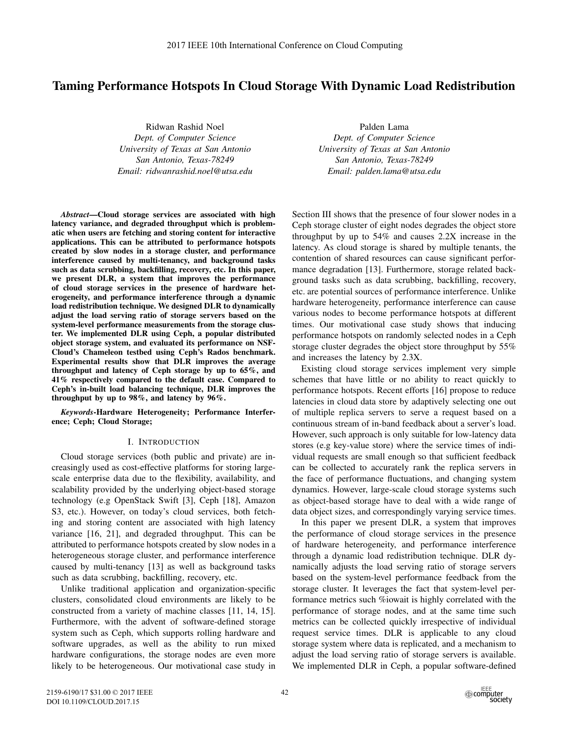# Taming Performance Hotspots In Cloud Storage With Dynamic Load Redistribution

Ridwan Rashid Noel *Dept. of Computer Science University of Texas at San Antonio San Antonio, Texas-78249 Email: ridwanrashid.noel@utsa.edu*

*Abstract*—Cloud storage services are associated with high latency variance, and degraded throughput which is problematic when users are fetching and storing content for interactive applications. This can be attributed to performance hotspots created by slow nodes in a storage cluster, and performance interference caused by multi-tenancy, and background tasks such as data scrubbing, backfilling, recovery, etc. In this paper, we present DLR, a system that improves the performance of cloud storage services in the presence of hardware heterogeneity, and performance interference through a dynamic load redistribution technique. We designed DLR to dynamically adjust the load serving ratio of storage servers based on the system-level performance measurements from the storage cluster. We implemented DLR using Ceph, a popular distributed object storage system, and evaluated its performance on NSF-Cloud's Chameleon testbed using Ceph's Rados benchmark. Experimental results show that DLR improves the average throughput and latency of Ceph storage by up to 65%, and 41% respectively compared to the default case. Compared to Ceph's in-built load balancing technique, DLR improves the throughput by up to 98%, and latency by 96%.

*Keywords*-Hardware Heterogeneity; Performance Interference; Ceph; Cloud Storage;

## I. INTRODUCTION

Cloud storage services (both public and private) are increasingly used as cost-effective platforms for storing largescale enterprise data due to the flexibility, availability, and scalability provided by the underlying object-based storage technology (e.g OpenStack Swift [3], Ceph [18], Amazon S3, etc.). However, on today's cloud services, both fetching and storing content are associated with high latency variance [16, 21], and degraded throughput. This can be attributed to performance hotspots created by slow nodes in a heterogeneous storage cluster, and performance interference caused by multi-tenancy [13] as well as background tasks such as data scrubbing, backfilling, recovery, etc.

Unlike traditional application and organization-specific clusters, consolidated cloud environments are likely to be constructed from a variety of machine classes [11, 14, 15]. Furthermore, with the advent of software-defined storage system such as Ceph, which supports rolling hardware and software upgrades, as well as the ability to run mixed hardware configurations, the storage nodes are even more likely to be heterogeneous. Our motivational case study in

Palden Lama *Dept. of Computer Science University of Texas at San Antonio San Antonio, Texas-78249 Email: palden.lama@utsa.edu*

Section III shows that the presence of four slower nodes in a Ceph storage cluster of eight nodes degrades the object store throughput by up to 54% and causes 2.2X increase in the latency. As cloud storage is shared by multiple tenants, the contention of shared resources can cause significant performance degradation [13]. Furthermore, storage related background tasks such as data scrubbing, backfilling, recovery, etc. are potential sources of performance interference. Unlike hardware heterogeneity, performance interference can cause various nodes to become performance hotspots at different times. Our motivational case study shows that inducing performance hotspots on randomly selected nodes in a Ceph storage cluster degrades the object store throughput by 55% and increases the latency by 2.3X.

Existing cloud storage services implement very simple schemes that have little or no ability to react quickly to performance hotspots. Recent efforts [16] propose to reduce latencies in cloud data store by adaptively selecting one out of multiple replica servers to serve a request based on a continuous stream of in-band feedback about a server's load. However, such approach is only suitable for low-latency data stores (e.g key-value store) where the service times of individual requests are small enough so that sufficient feedback can be collected to accurately rank the replica servers in the face of performance fluctuations, and changing system dynamics. However, large-scale cloud storage systems such as object-based storage have to deal with a wide range of data object sizes, and correspondingly varying service times.

In this paper we present DLR, a system that improves the performance of cloud storage services in the presence of hardware heterogeneity, and performance interference through a dynamic load redistribution technique. DLR dynamically adjusts the load serving ratio of storage servers based on the system-level performance feedback from the storage cluster. It leverages the fact that system-level performance metrics such %iowait is highly correlated with the performance of storage nodes, and at the same time such metrics can be collected quickly irrespective of individual request service times. DLR is applicable to any cloud storage system where data is replicated, and a mechanism to adjust the load serving ratio of storage servers is available. We implemented DLR in Ceph, a popular software-defined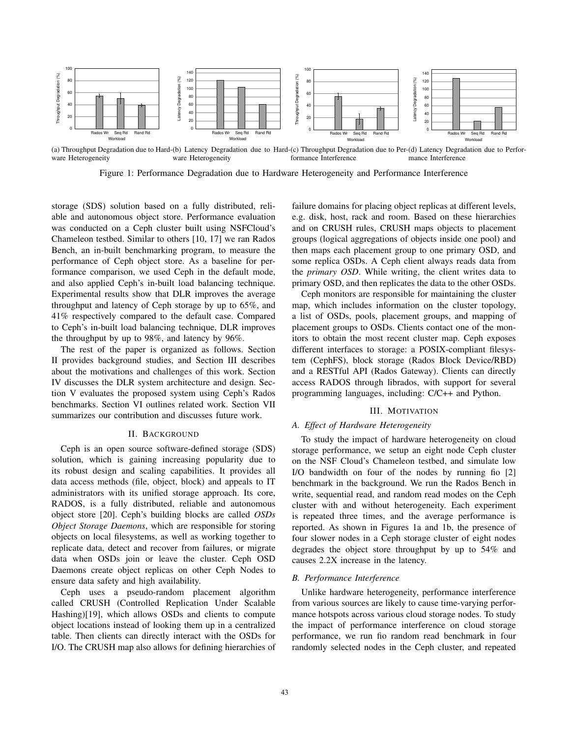

(a) Throughput Degradation due to Hard-(b) Latency Degradation due to Hard-(c) Throughput Degradation due to Per-(d) Latency Degradation due to Perforware Heterogeneity ware Heterogeneity formance Interference mance Interference

Figure 1: Performance Degradation due to Hardware Heterogeneity and Performance Interference

storage (SDS) solution based on a fully distributed, reliable and autonomous object store. Performance evaluation was conducted on a Ceph cluster built using NSFCloud's Chameleon testbed. Similar to others [10, 17] we ran Rados Bench, an in-built benchmarking program, to measure the performance of Ceph object store. As a baseline for performance comparison, we used Ceph in the default mode, and also applied Ceph's in-built load balancing technique. Experimental results show that DLR improves the average throughput and latency of Ceph storage by up to 65%, and 41% respectively compared to the default case. Compared to Ceph's in-built load balancing technique, DLR improves the throughput by up to 98%, and latency by 96%.

The rest of the paper is organized as follows. Section II provides background studies, and Section III describes about the motivations and challenges of this work. Section IV discusses the DLR system architecture and design. Section V evaluates the proposed system using Ceph's Rados benchmarks. Section VI outlines related work. Section VII summarizes our contribution and discusses future work.

## II. BACKGROUND

Ceph is an open source software-defined storage (SDS) solution, which is gaining increasing popularity due to its robust design and scaling capabilities. It provides all data access methods (file, object, block) and appeals to IT administrators with its unified storage approach. Its core, RADOS, is a fully distributed, reliable and autonomous object store [20]. Ceph's building blocks are called *OSDs Object Storage Daemons*, which are responsible for storing objects on local filesystems, as well as working together to replicate data, detect and recover from failures, or migrate data when OSDs join or leave the cluster. Ceph OSD Daemons create object replicas on other Ceph Nodes to ensure data safety and high availability.

Ceph uses a pseudo-random placement algorithm called CRUSH (Controlled Replication Under Scalable Hashing)[19], which allows OSDs and clients to compute object locations instead of looking them up in a centralized table. Then clients can directly interact with the OSDs for I/O. The CRUSH map also allows for defining hierarchies of

failure domains for placing object replicas at different levels, e.g. disk, host, rack and room. Based on these hierarchies and on CRUSH rules, CRUSH maps objects to placement groups (logical aggregations of objects inside one pool) and then maps each placement group to one primary OSD, and some replica OSDs. A Ceph client always reads data from the *primary OSD*. While writing, the client writes data to primary OSD, and then replicates the data to the other OSDs.

Ceph monitors are responsible for maintaining the cluster map, which includes information on the cluster topology, a list of OSDs, pools, placement groups, and mapping of placement groups to OSDs. Clients contact one of the monitors to obtain the most recent cluster map. Ceph exposes different interfaces to storage: a POSIX-compliant filesystem (CephFS), block storage (Rados Block Device/RBD) and a RESTful API (Rados Gateway). Clients can directly access RADOS through librados, with support for several programming languages, including: C/C++ and Python.

## III. MOTIVATION

### *A. Effect of Hardware Heterogeneity*

To study the impact of hardware heterogeneity on cloud storage performance, we setup an eight node Ceph cluster on the NSF Cloud's Chameleon testbed, and simulate low I/O bandwidth on four of the nodes by running fio [2] benchmark in the background. We run the Rados Bench in write, sequential read, and random read modes on the Ceph cluster with and without heterogeneity. Each experiment is repeated three times, and the average performance is reported. As shown in Figures 1a and 1b, the presence of four slower nodes in a Ceph storage cluster of eight nodes degrades the object store throughput by up to 54% and causes 2.2X increase in the latency.

## *B. Performance Interference*

Unlike hardware heterogeneity, performance interference from various sources are likely to cause time-varying performance hotspots across various cloud storage nodes. To study the impact of performance interference on cloud storage performance, we run fio random read benchmark in four randomly selected nodes in the Ceph cluster, and repeated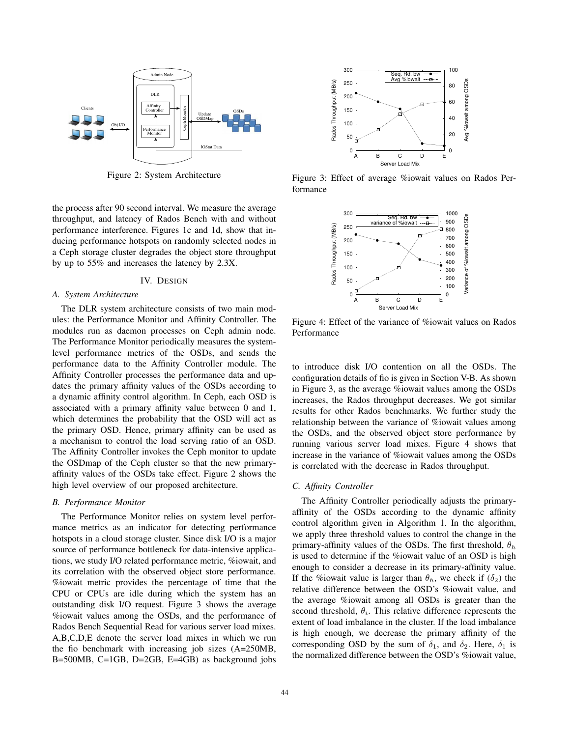

Figure 2: System Architecture

the process after 90 second interval. We measure the average throughput, and latency of Rados Bench with and without performance interference. Figures 1c and 1d, show that inducing performance hotspots on randomly selected nodes in a Ceph storage cluster degrades the object store throughput by up to 55% and increases the latency by 2.3X.

### IV. DESIGN

#### *A. System Architecture*

The DLR system architecture consists of two main modules: the Performance Monitor and Affinity Controller. The modules run as daemon processes on Ceph admin node. The Performance Monitor periodically measures the systemlevel performance metrics of the OSDs, and sends the performance data to the Affinity Controller module. The Affinity Controller processes the performance data and updates the primary affinity values of the OSDs according to a dynamic affinity control algorithm. In Ceph, each OSD is associated with a primary affinity value between 0 and 1, which determines the probability that the OSD will act as the primary OSD. Hence, primary affinity can be used as a mechanism to control the load serving ratio of an OSD. The Affinity Controller invokes the Ceph monitor to update the OSDmap of the Ceph cluster so that the new primaryaffinity values of the OSDs take effect. Figure 2 shows the high level overview of our proposed architecture.

### *B. Performance Monitor*

The Performance Monitor relies on system level performance metrics as an indicator for detecting performance hotspots in a cloud storage cluster. Since disk I/O is a major source of performance bottleneck for data-intensive applications, we study I/O related performance metric, %iowait, and its correlation with the observed object store performance. %iowait metric provides the percentage of time that the CPU or CPUs are idle during which the system has an outstanding disk I/O request. Figure 3 shows the average %iowait values among the OSDs, and the performance of Rados Bench Sequential Read for various server load mixes. A,B,C,D,E denote the server load mixes in which we run the fio benchmark with increasing job sizes (A=250MB, B=500MB, C=1GB, D=2GB, E=4GB) as background jobs



Figure 3: Effect of average %iowait values on Rados Performance



Figure 4: Effect of the variance of %iowait values on Rados Performance

to introduce disk I/O contention on all the OSDs. The configuration details of fio is given in Section V-B. As shown in Figure 3, as the average %iowait values among the OSDs increases, the Rados throughput decreases. We got similar results for other Rados benchmarks. We further study the relationship between the variance of %iowait values among the OSDs, and the observed object store performance by running various server load mixes. Figure 4 shows that increase in the variance of %iowait values among the OSDs is correlated with the decrease in Rados throughput.

## *C. Affinity Controller*

The Affinity Controller periodically adjusts the primaryaffinity of the OSDs according to the dynamic affinity control algorithm given in Algorithm 1. In the algorithm, we apply three threshold values to control the change in the primary-affinity values of the OSDs. The first threshold,  $\theta_h$ is used to determine if the %iowait value of an OSD is high enough to consider a decrease in its primary-affinity value. If the %iowait value is larger than  $\theta_h$ , we check if  $(\delta_2)$  the relative difference between the OSD's %iowait value, and the average %iowait among all OSDs is greater than the second threshold,  $\theta_i$ . This relative difference represents the extent of load imbalance in the cluster. If the load imbalance is high enough, we decrease the primary affinity of the corresponding OSD by the sum of  $\delta_1$ , and  $\delta_2$ . Here,  $\delta_1$  is the normalized difference between the OSD's %iowait value,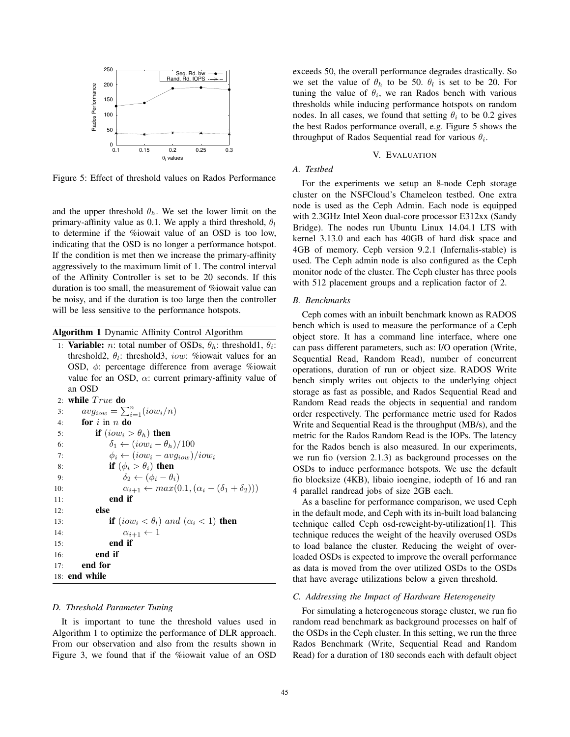

Figure 5: Effect of threshold values on Rados Performance

and the upper threshold  $\theta_h$ . We set the lower limit on the primary-affinity value as 0.1. We apply a third threshold,  $\theta_l$ to determine if the %iowait value of an OSD is too low, indicating that the OSD is no longer a performance hotspot. If the condition is met then we increase the primary-affinity aggressively to the maximum limit of 1. The control interval of the Affinity Controller is set to be 20 seconds. If this duration is too small, the measurement of %iowait value can be noisy, and if the duration is too large then the controller will be less sensitive to the performance hotspots.

Algorithm 1 Dynamic Affinity Control Algorithm

1: **Variable:** *n*: total number of OSDs,  $\theta_h$ : threshold1,  $\theta_i$ : threshold2,  $\theta_l$ : threshold3, *iow*: %*iowait values* for an OSD, φ: percentage difference from average %iowait value for an OSD,  $\alpha$ : current primary-affinity value of an OSD

```
2: while True do
```

```
3: avg_{iow} = \sum_{i=1}^{n} (iow_i/n)4: for i in n \overrightarrow{do}5: if (iow_i > \theta_h) then
6: \delta_1 \leftarrow (i \omega_i - \theta_h)/1007: \phi_i \leftarrow (iow_i - avg_{iow})/iow_i8: if (\phi_i > \theta_i) then
9: \delta_2 \leftarrow (\phi_i - \theta_i)10: \alpha_{i+1} \leftarrow max(0.1, (\alpha_i - (\delta_1 + \delta_2)))11: end if
12: else
13: if (iow_i < \theta_l) and (\alpha_i < 1) then
14: \alpha_{i+1} \leftarrow 115: end if
16: end if
17: end for
18: end while
```
## *D. Threshold Parameter Tuning*

It is important to tune the threshold values used in Algorithm 1 to optimize the performance of DLR approach. From our observation and also from the results shown in Figure 3, we found that if the %iowait value of an OSD exceeds 50, the overall performance degrades drastically. So we set the value of  $\theta_h$  to be 50.  $\theta_l$  is set to be 20. For tuning the value of  $\theta_i$ , we ran Rados bench with various thresholds while inducing performance hotspots on random nodes. In all cases, we found that setting  $\theta_i$  to be 0.2 gives the best Rados performance overall, e.g. Figure 5 shows the throughput of Rados Sequential read for various  $\theta_i$ .

## V. EVALUATION

## *A. Testbed*

For the experiments we setup an 8-node Ceph storage cluster on the NSFCloud's Chameleon testbed. One extra node is used as the Ceph Admin. Each node is equipped with 2.3GHz Intel Xeon dual-core processor E312xx (Sandy Bridge). The nodes run Ubuntu Linux 14.04.1 LTS with kernel 3.13.0 and each has 40GB of hard disk space and 4GB of memory. Ceph version 9.2.1 (Infernalis-stable) is used. The Ceph admin node is also configured as the Ceph monitor node of the cluster. The Ceph cluster has three pools with 512 placement groups and a replication factor of 2.

## *B. Benchmarks*

Ceph comes with an inbuilt benchmark known as RADOS bench which is used to measure the performance of a Ceph object store. It has a command line interface, where one can pass different parameters, such as: I/O operation (Write, Sequential Read, Random Read), number of concurrent operations, duration of run or object size. RADOS Write bench simply writes out objects to the underlying object storage as fast as possible, and Rados Sequential Read and Random Read reads the objects in sequential and random order respectively. The performance metric used for Rados Write and Sequential Read is the throughput (MB/s), and the metric for the Rados Random Read is the IOPs. The latency for the Rados bench is also measured. In our experiments, we run fio (version 2.1.3) as background processes on the OSDs to induce performance hotspots. We use the default fio blocksize (4KB), libaio ioengine, iodepth of 16 and ran 4 parallel randread jobs of size 2GB each.

As a baseline for performance comparison, we used Ceph in the default mode, and Ceph with its in-built load balancing technique called Ceph osd-reweight-by-utilization[1]. This technique reduces the weight of the heavily overused OSDs to load balance the cluster. Reducing the weight of overloaded OSDs is expected to improve the overall performance as data is moved from the over utilized OSDs to the OSDs that have average utilizations below a given threshold.

### *C. Addressing the Impact of Hardware Heterogeneity*

For simulating a heterogeneous storage cluster, we run fio random read benchmark as background processes on half of the OSDs in the Ceph cluster. In this setting, we run the three Rados Benchmark (Write, Sequential Read and Random Read) for a duration of 180 seconds each with default object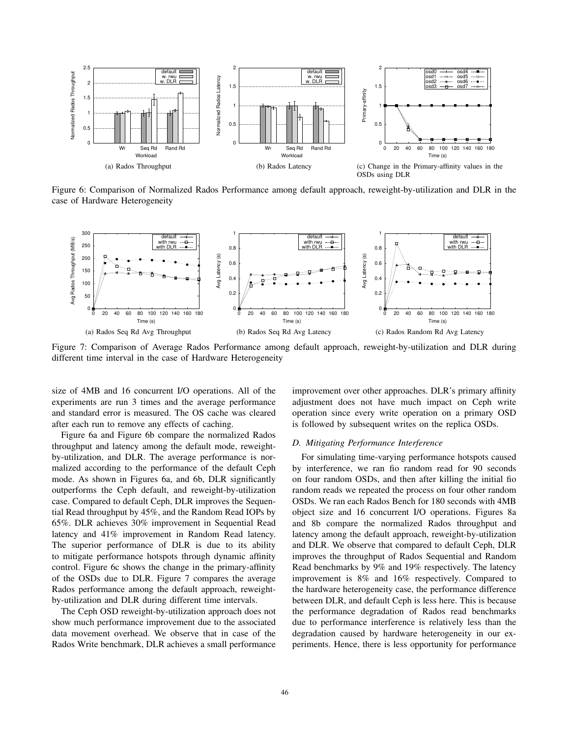

Figure 6: Comparison of Normalized Rados Performance among default approach, reweight-by-utilization and DLR in the case of Hardware Heterogeneity



Figure 7: Comparison of Average Rados Performance among default approach, reweight-by-utilization and DLR during different time interval in the case of Hardware Heterogeneity

size of 4MB and 16 concurrent I/O operations. All of the experiments are run 3 times and the average performance and standard error is measured. The OS cache was cleared after each run to remove any effects of caching.

Figure 6a and Figure 6b compare the normalized Rados throughput and latency among the default mode, reweightby-utilization, and DLR. The average performance is normalized according to the performance of the default Ceph mode. As shown in Figures 6a, and 6b, DLR significantly outperforms the Ceph default, and reweight-by-utilization case. Compared to default Ceph, DLR improves the Sequential Read throughput by 45%, and the Random Read IOPs by 65%. DLR achieves 30% improvement in Sequential Read latency and 41% improvement in Random Read latency. The superior performance of DLR is due to its ability to mitigate performance hotspots through dynamic affinity control. Figure 6c shows the change in the primary-affinity of the OSDs due to DLR. Figure 7 compares the average Rados performance among the default approach, reweightby-utilization and DLR during different time intervals.

The Ceph OSD reweight-by-utilization approach does not show much performance improvement due to the associated data movement overhead. We observe that in case of the Rados Write benchmark, DLR achieves a small performance

improvement over other approaches. DLR's primary affinity adjustment does not have much impact on Ceph write operation since every write operation on a primary OSD is followed by subsequent writes on the replica OSDs.

## *D. Mitigating Performance Interference*

For simulating time-varying performance hotspots caused by interference, we ran fio random read for 90 seconds on four random OSDs, and then after killing the initial fio random reads we repeated the process on four other random OSDs. We ran each Rados Bench for 180 seconds with 4MB object size and 16 concurrent I/O operations. Figures 8a and 8b compare the normalized Rados throughput and latency among the default approach, reweight-by-utilization and DLR. We observe that compared to default Ceph, DLR improves the throughput of Rados Sequential and Random Read benchmarks by 9% and 19% respectively. The latency improvement is 8% and 16% respectively. Compared to the hardware heterogeneity case, the performance difference between DLR, and default Ceph is less here. This is because the performance degradation of Rados read benchmarks due to performance interference is relatively less than the degradation caused by hardware heterogeneity in our experiments. Hence, there is less opportunity for performance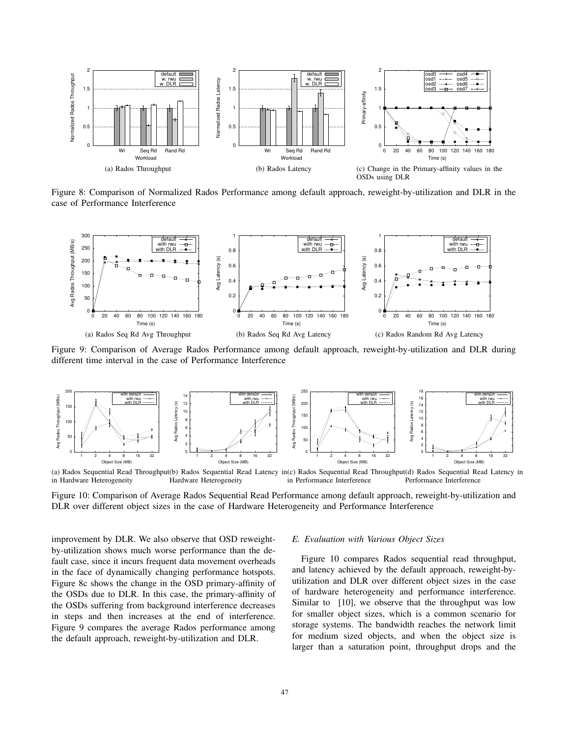

Figure 8: Comparison of Normalized Rados Performance among default approach, reweight-by-utilization and DLR in the case of Performance Interference



Figure 9: Comparison of Average Rados Performance among default approach, reweight-by-utilization and DLR during different time interval in the case of Performance Interference



(a) Rados Sequential Read Throughput(b) Rados Sequential Read Latency in(c) Rados Sequential Read Throughput(d) Rados Sequential Read Latency in in Hardware Heterogeneity Hardware Heterogeneity in Performance Interference Performance Interference

Figure 10: Comparison of Average Rados Sequential Read Performance among default approach, reweight-by-utilization and DLR over different object sizes in the case of Hardware Heterogeneity and Performance Interference

improvement by DLR. We also observe that OSD reweightby-utilization shows much worse performance than the default case, since it incurs frequent data movement overheads in the face of dynamically changing performance hotspots. Figure 8c shows the change in the OSD primary-affinity of the OSDs due to DLR. In this case, the primary-affinity of the OSDs suffering from background interference decreases in steps and then increases at the end of interference. Figure 9 compares the average Rados performance among the default approach, reweight-by-utilization and DLR.

### *E. Evaluation with Various Object Sizes*

Figure 10 compares Rados sequential read throughput, and latency achieved by the default approach, reweight-byutilization and DLR over different object sizes in the case of hardware heterogeneity and performance interference. Similar to [10], we observe that the throughput was low for smaller object sizes, which is a common scenario for storage systems. The bandwidth reaches the network limit for medium sized objects, and when the object size is larger than a saturation point, throughput drops and the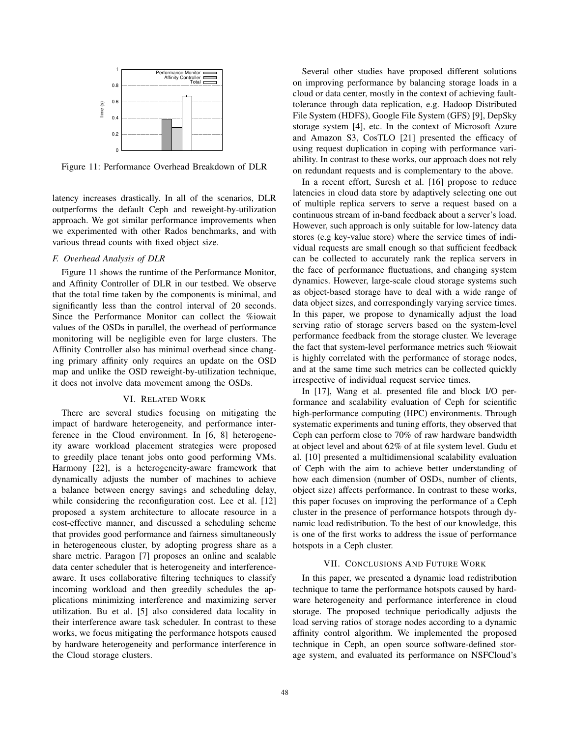

Figure 11: Performance Overhead Breakdown of DLR

latency increases drastically. In all of the scenarios, DLR outperforms the default Ceph and reweight-by-utilization approach. We got similar performance improvements when we experimented with other Rados benchmarks, and with various thread counts with fixed object size.

## *F. Overhead Analysis of DLR*

Figure 11 shows the runtime of the Performance Monitor, and Affinity Controller of DLR in our testbed. We observe that the total time taken by the components is minimal, and significantly less than the control interval of 20 seconds. Since the Performance Monitor can collect the %iowait values of the OSDs in parallel, the overhead of performance monitoring will be negligible even for large clusters. The Affinity Controller also has minimal overhead since changing primary affinity only requires an update on the OSD map and unlike the OSD reweight-by-utilization technique, it does not involve data movement among the OSDs.

## VI. RELATED WORK

There are several studies focusing on mitigating the impact of hardware heterogeneity, and performance interference in the Cloud environment. In [6, 8] heterogeneity aware workload placement strategies were proposed to greedily place tenant jobs onto good performing VMs. Harmony [22], is a heterogeneity-aware framework that dynamically adjusts the number of machines to achieve a balance between energy savings and scheduling delay, while considering the reconfiguration cost. Lee et al. [12] proposed a system architecture to allocate resource in a cost-effective manner, and discussed a scheduling scheme that provides good performance and fairness simultaneously in heterogeneous cluster, by adopting progress share as a share metric. Paragon [7] proposes an online and scalable data center scheduler that is heterogeneity and interferenceaware. It uses collaborative filtering techniques to classify incoming workload and then greedily schedules the applications minimizing interference and maximizing server utilization. Bu et al. [5] also considered data locality in their interference aware task scheduler. In contrast to these works, we focus mitigating the performance hotspots caused by hardware heterogeneity and performance interference in the Cloud storage clusters.

Several other studies have proposed different solutions on improving performance by balancing storage loads in a cloud or data center, mostly in the context of achieving faulttolerance through data replication, e.g. Hadoop Distributed File System (HDFS), Google File System (GFS) [9], DepSky storage system [4], etc. In the context of Microsoft Azure and Amazon S3, CosTLO [21] presented the efficacy of using request duplication in coping with performance variability. In contrast to these works, our approach does not rely on redundant requests and is complementary to the above.

In a recent effort, Suresh et al. [16] propose to reduce latencies in cloud data store by adaptively selecting one out of multiple replica servers to serve a request based on a continuous stream of in-band feedback about a server's load. However, such approach is only suitable for low-latency data stores (e.g key-value store) where the service times of individual requests are small enough so that sufficient feedback can be collected to accurately rank the replica servers in the face of performance fluctuations, and changing system dynamics. However, large-scale cloud storage systems such as object-based storage have to deal with a wide range of data object sizes, and correspondingly varying service times. In this paper, we propose to dynamically adjust the load serving ratio of storage servers based on the system-level performance feedback from the storage cluster. We leverage the fact that system-level performance metrics such %iowait is highly correlated with the performance of storage nodes, and at the same time such metrics can be collected quickly irrespective of individual request service times.

In [17], Wang et al. presented file and block I/O performance and scalability evaluation of Ceph for scientific high-performance computing (HPC) environments. Through systematic experiments and tuning efforts, they observed that Ceph can perform close to 70% of raw hardware bandwidth at object level and about 62% of at file system level. Gudu et al. [10] presented a multidimensional scalability evaluation of Ceph with the aim to achieve better understanding of how each dimension (number of OSDs, number of clients, object size) affects performance. In contrast to these works, this paper focuses on improving the performance of a Ceph cluster in the presence of performance hotspots through dynamic load redistribution. To the best of our knowledge, this is one of the first works to address the issue of performance hotspots in a Ceph cluster.

## VII. CONCLUSIONS AND FUTURE WORK

In this paper, we presented a dynamic load redistribution technique to tame the performance hotspots caused by hardware heterogeneity and performance interference in cloud storage. The proposed technique periodically adjusts the load serving ratios of storage nodes according to a dynamic affinity control algorithm. We implemented the proposed technique in Ceph, an open source software-defined storage system, and evaluated its performance on NSFCloud's